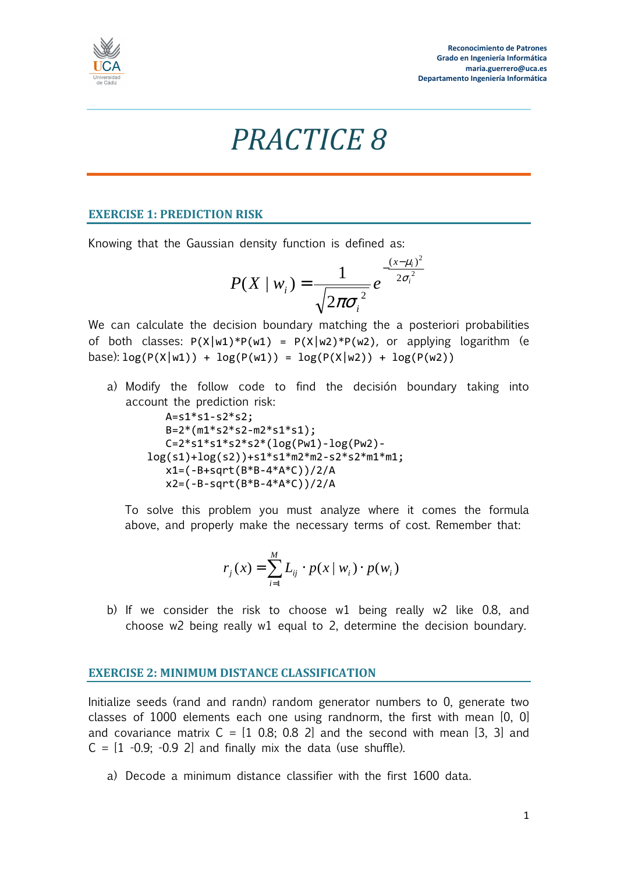

## *PRACTICE 8*

## **EXERCISE 1: PREDICTION RISK**

Knowing that the Gaussian density function is defined as:

$$
P(X \mid w_i) = \frac{1}{\sqrt{2\pi\sigma_i^2}} e^{-\frac{(x-\mu_i)^2}{2\sigma_i^2}}
$$

We can calculate the decision boundary matching the a posteriori probabilities of both classes:  $P(X|w1)*P(w1) = P(X|w2)*P(w2)$ , or applying logarithm (e base):  $log(P(X|w1)) + log(P(w1)) = log(P(X|w2)) + log(P(w2))$ 

a) Modify the follow code to find the decisión boundary taking into account the prediction risk:

 $A = s1 * s1 - s2 * s2;$  $B=2*(m1*s2*s2-m2*s1*s1);$  $C=2*s1*s1*s2*s2*(log(Pw1)-log(Pw2)$ log(s1)+log(s2))+s1\*s1\*m2\*m2-s2\*s2\*m1\*m1; x1=(-B+sqrt(B\*B-4\*A\*C))/2/A x2=(-B-sqrt(B\*B-4\*A\*C))/2/A

To solve this problem you must analyze where it comes the formula above, and properly make the necessary terms of cost. Remember that:

$$
r_j(x) = \sum_{i=1}^{M} L_{ij} \cdot p(x \mid w_i) \cdot p(w_i)
$$

b) If we consider the risk to choose w1 being really w2 like 0.8, and choose w2 being really w1 equal to 2, determine the decision boundary.

## **EXERCISE 2: MINIMUM DISTANCE CLASSIFICATION**

Initialize seeds (rand and randn) random generator numbers to 0, generate two classes of 1000 elements each one using randnorm, the first with mean [0, 0] and covariance matrix  $C = \begin{bmatrix} 1 & 0.8 \\ 0.8 & 2 \end{bmatrix}$  and the second with mean  $\begin{bmatrix} 3 & 3 \end{bmatrix}$  and  $C = \begin{bmatrix} 1 & -0.9 \\ -0.9 & -0.9 \end{bmatrix}$  and finally mix the data (use shuffle).

a) Decode a minimum distance classifier with the first 1600 data.